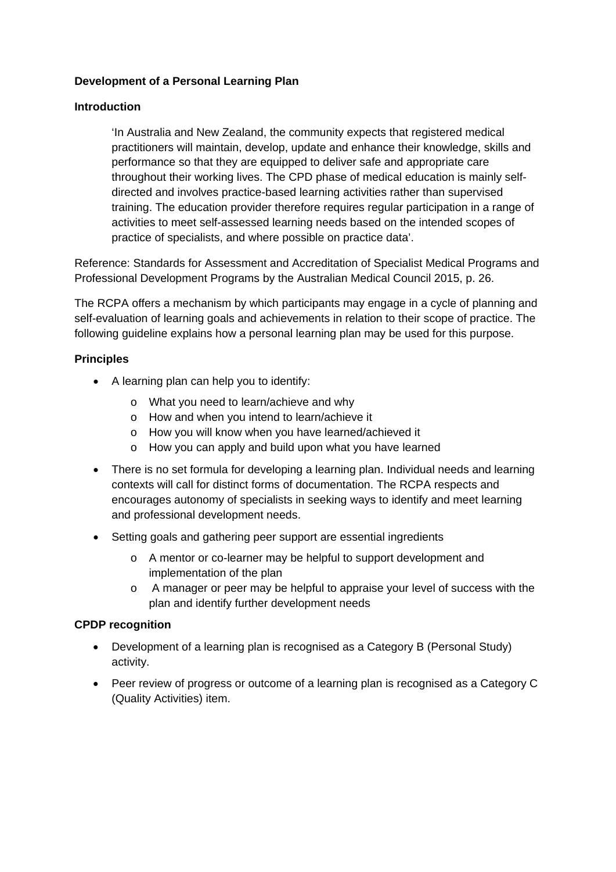### **Development of a Personal Learning Plan**

#### **Introduction**

'In Australia and New Zealand, the community expects that registered medical practitioners will maintain, develop, update and enhance their knowledge, skills and performance so that they are equipped to deliver safe and appropriate care throughout their working lives. The CPD phase of medical education is mainly selfdirected and involves practice-based learning activities rather than supervised training. The education provider therefore requires regular participation in a range of activities to meet self-assessed learning needs based on the intended scopes of practice of specialists, and where possible on practice data'.

Reference: Standards for Assessment and Accreditation of Specialist Medical Programs and Professional Development Programs by the Australian Medical Council 2015, p. 26.

The RCPA offers a mechanism by which participants may engage in a cycle of planning and self-evaluation of learning goals and achievements in relation to their scope of practice. The following guideline explains how a personal learning plan may be used for this purpose.

### **Principles**

- A learning plan can help you to identify:
	- o What you need to learn/achieve and why
	- o How and when you intend to learn/achieve it
	- o How you will know when you have learned/achieved it
	- o How you can apply and build upon what you have learned
- There is no set formula for developing a learning plan. Individual needs and learning contexts will call for distinct forms of documentation. The RCPA respects and encourages autonomy of specialists in seeking ways to identify and meet learning and professional development needs.
- Setting goals and gathering peer support are essential ingredients
	- o A mentor or co-learner may be helpful to support development and implementation of the plan
	- o A manager or peer may be helpful to appraise your level of success with the plan and identify further development needs

## **CPDP recognition**

- Development of a learning plan is recognised as a Category B (Personal Study) activity.
- Peer review of progress or outcome of a learning plan is recognised as a Category C (Quality Activities) item.